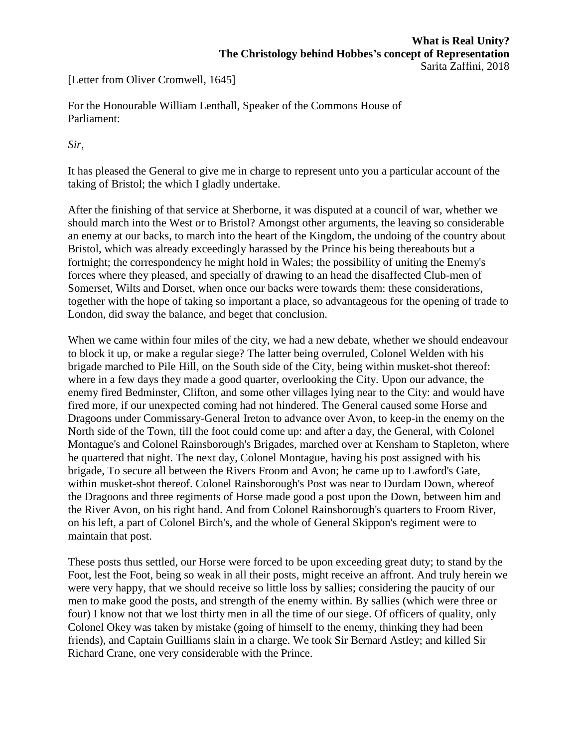[Letter from Oliver Cromwell, 1645]

For the Honourable William Lenthall, Speaker of the Commons House of Parliament:

*Sir*,

It has pleased the General to give me in charge to represent unto you a particular account of the taking of Bristol; the which I gladly undertake.

After the finishing of that service at Sherborne, it was disputed at a council of war, whether we should march into the West or to Bristol? Amongst other arguments, the leaving so considerable an enemy at our backs, to march into the heart of the Kingdom, the undoing of the country about Bristol, which was already exceedingly harassed by the Prince his being thereabouts but a fortnight; the correspondency he might hold in Wales; the possibility of uniting the Enemy's forces where they pleased, and specially of drawing to an head the disaffected Club-men of Somerset, Wilts and Dorset, when once our backs were towards them: these considerations, together with the hope of taking so important a place, so advantageous for the opening of trade to London, did sway the balance, and beget that conclusion.

When we came within four miles of the city, we had a new debate, whether we should endeavour to block it up, or make a regular siege? The latter being overruled, Colonel Welden with his brigade marched to Pile Hill, on the South side of the City, being within musket-shot thereof: where in a few days they made a good quarter, overlooking the City. Upon our advance, the enemy fired Bedminster, Clifton, and some other villages lying near to the City: and would have fired more, if our unexpected coming had not hindered. The General caused some Horse and Dragoons under Commissary-General Ireton to advance over Avon, to keep-in the enemy on the North side of the Town, till the foot could come up: and after a day, the General, with Colonel Montague's and Colonel Rainsborough's Brigades, marched over at Kensham to Stapleton, where he quartered that night. The next day, Colonel Montague, having his post assigned with his brigade, To secure all between the Rivers Froom and Avon; he came up to Lawford's Gate, within musket-shot thereof. Colonel Rainsborough's Post was near to Durdam Down, whereof the Dragoons and three regiments of Horse made good a post upon the Down, between him and the River Avon, on his right hand. And from Colonel Rainsborough's quarters to Froom River, on his left, a part of Colonel Birch's, and the whole of General Skippon's regiment were to maintain that post.

These posts thus settled, our Horse were forced to be upon exceeding great duty; to stand by the Foot, lest the Foot, being so weak in all their posts, might receive an affront. And truly herein we were very happy, that we should receive so little loss by sallies; considering the paucity of our men to make good the posts, and strength of the enemy within. By sallies (which were three or four) I know not that we lost thirty men in all the time of our siege. Of officers of quality, only Colonel Okey was taken by mistake (going of himself to the enemy, thinking they had been friends), and Captain Guilliams slain in a charge. We took Sir Bernard Astley; and killed Sir Richard Crane, one very considerable with the Prince.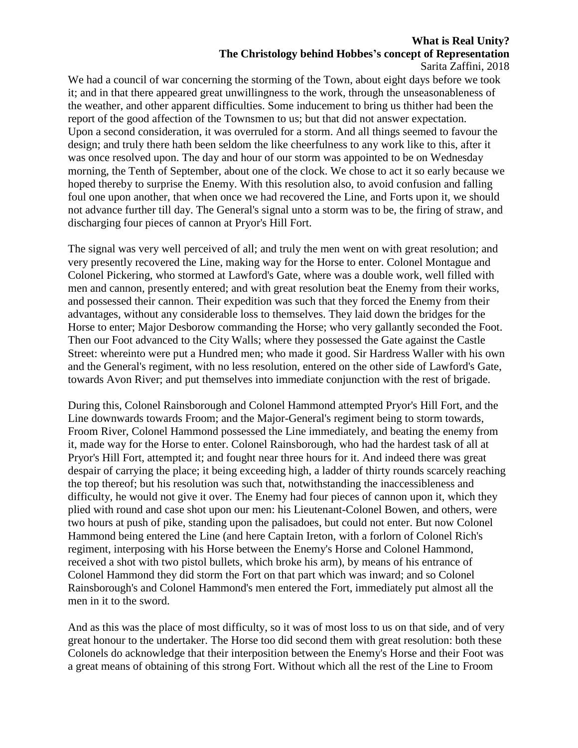## **What is Real Unity? The Christology behind Hobbes's concept of Representation**

Sarita Zaffini, 2018

We had a council of war concerning the storming of the Town, about eight days before we took it; and in that there appeared great unwillingness to the work, through the unseasonableness of the weather, and other apparent difficulties. Some inducement to bring us thither had been the report of the good affection of the Townsmen to us; but that did not answer expectation. Upon a second consideration, it was overruled for a storm. And all things seemed to favour the design; and truly there hath been seldom the like cheerfulness to any work like to this, after it was once resolved upon. The day and hour of our storm was appointed to be on Wednesday morning, the Tenth of September, about one of the clock. We chose to act it so early because we hoped thereby to surprise the Enemy. With this resolution also, to avoid confusion and falling foul one upon another, that when once we had recovered the Line, and Forts upon it, we should not advance further till day. The General's signal unto a storm was to be, the firing of straw, and discharging four pieces of cannon at Pryor's Hill Fort.

The signal was very well perceived of all; and truly the men went on with great resolution; and very presently recovered the Line, making way for the Horse to enter. Colonel Montague and Colonel Pickering, who stormed at Lawford's Gate, where was a double work, well filled with men and cannon, presently entered; and with great resolution beat the Enemy from their works, and possessed their cannon. Their expedition was such that they forced the Enemy from their advantages, without any considerable loss to themselves. They laid down the bridges for the Horse to enter; Major Desborow commanding the Horse; who very gallantly seconded the Foot. Then our Foot advanced to the City Walls; where they possessed the Gate against the Castle Street: whereinto were put a Hundred men; who made it good. Sir Hardress Waller with his own and the General's regiment, with no less resolution, entered on the other side of Lawford's Gate, towards Avon River; and put themselves into immediate conjunction with the rest of brigade.

During this, Colonel Rainsborough and Colonel Hammond attempted Pryor's Hill Fort, and the Line downwards towards Froom; and the Major-General's regiment being to storm towards, Froom River, Colonel Hammond possessed the Line immediately, and beating the enemy from it, made way for the Horse to enter. Colonel Rainsborough, who had the hardest task of all at Pryor's Hill Fort, attempted it; and fought near three hours for it. And indeed there was great despair of carrying the place; it being exceeding high, a ladder of thirty rounds scarcely reaching the top thereof; but his resolution was such that, notwithstanding the inaccessibleness and difficulty, he would not give it over. The Enemy had four pieces of cannon upon it, which they plied with round and case shot upon our men: his Lieutenant-Colonel Bowen, and others, were two hours at push of pike, standing upon the palisadoes, but could not enter. But now Colonel Hammond being entered the Line (and here Captain Ireton, with a forlorn of Colonel Rich's regiment, interposing with his Horse between the Enemy's Horse and Colonel Hammond, received a shot with two pistol bullets, which broke his arm), by means of his entrance of Colonel Hammond they did storm the Fort on that part which was inward; and so Colonel Rainsborough's and Colonel Hammond's men entered the Fort, immediately put almost all the men in it to the sword.

And as this was the place of most difficulty, so it was of most loss to us on that side, and of very great honour to the undertaker. The Horse too did second them with great resolution: both these Colonels do acknowledge that their interposition between the Enemy's Horse and their Foot was a great means of obtaining of this strong Fort. Without which all the rest of the Line to Froom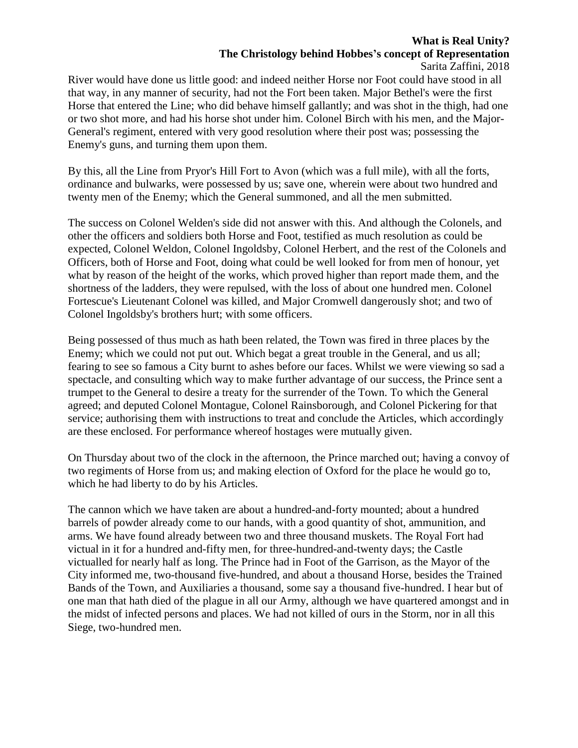## **What is Real Unity? The Christology behind Hobbes's concept of Representation** Sarita Zaffini, 2018

River would have done us little good: and indeed neither Horse nor Foot could have stood in all that way, in any manner of security, had not the Fort been taken. Major Bethel's were the first Horse that entered the Line; who did behave himself gallantly; and was shot in the thigh, had one or two shot more, and had his horse shot under him. Colonel Birch with his men, and the Major-General's regiment, entered with very good resolution where their post was; possessing the Enemy's guns, and turning them upon them.

By this, all the Line from Pryor's Hill Fort to Avon (which was a full mile), with all the forts, ordinance and bulwarks, were possessed by us; save one, wherein were about two hundred and twenty men of the Enemy; which the General summoned, and all the men submitted.

The success on Colonel Welden's side did not answer with this. And although the Colonels, and other the officers and soldiers both Horse and Foot, testified as much resolution as could be expected, Colonel Weldon, Colonel Ingoldsby, Colonel Herbert, and the rest of the Colonels and Officers, both of Horse and Foot, doing what could be well looked for from men of honour, yet what by reason of the height of the works, which proved higher than report made them, and the shortness of the ladders, they were repulsed, with the loss of about one hundred men. Colonel Fortescue's Lieutenant Colonel was killed, and Major Cromwell dangerously shot; and two of Colonel Ingoldsby's brothers hurt; with some officers.

Being possessed of thus much as hath been related, the Town was fired in three places by the Enemy; which we could not put out. Which begat a great trouble in the General, and us all; fearing to see so famous a City burnt to ashes before our faces. Whilst we were viewing so sad a spectacle, and consulting which way to make further advantage of our success, the Prince sent a trumpet to the General to desire a treaty for the surrender of the Town. To which the General agreed; and deputed Colonel Montague, Colonel Rainsborough, and Colonel Pickering for that service; authorising them with instructions to treat and conclude the Articles, which accordingly are these enclosed. For performance whereof hostages were mutually given.

On Thursday about two of the clock in the afternoon, the Prince marched out; having a convoy of two regiments of Horse from us; and making election of Oxford for the place he would go to, which he had liberty to do by his Articles.

The cannon which we have taken are about a hundred-and-forty mounted; about a hundred barrels of powder already come to our hands, with a good quantity of shot, ammunition, and arms. We have found already between two and three thousand muskets. The Royal Fort had victual in it for a hundred and-fifty men, for three-hundred-and-twenty days; the Castle victualled for nearly half as long. The Prince had in Foot of the Garrison, as the Mayor of the City informed me, two-thousand five-hundred, and about a thousand Horse, besides the Trained Bands of the Town, and Auxiliaries a thousand, some say a thousand five-hundred. I hear but of one man that hath died of the plague in all our Army, although we have quartered amongst and in the midst of infected persons and places. We had not killed of ours in the Storm, nor in all this Siege, two-hundred men.